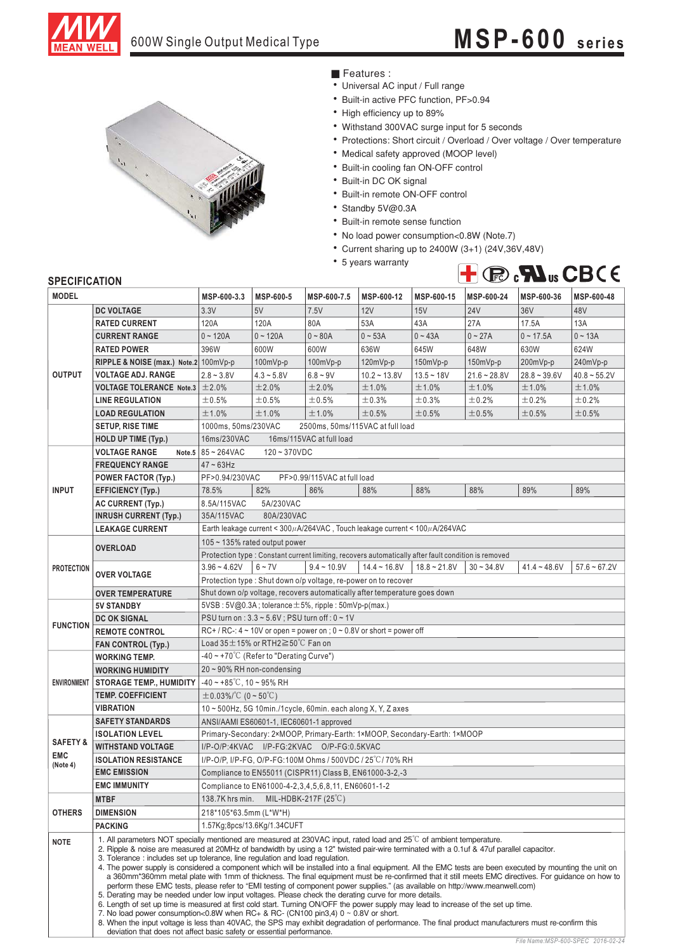

# 600W Single Output Medical Type **MSP-600 series**



■ Features :

- Universal AC input / Full range
- Built-in active PFC function, PF>0.94
- High efficiency up to 89%
- Withstand 300VAC surge input for 5 seconds
- Protections: Short circuit / Overload / Over voltage / Over temperature
- Medical safety approved (MOOP level)
- Built-in cooling fan ON-OFF control
- Built-in DC OK signal
- Built-in remote ON-OFF control
- Standby 5V@0.3A
- Built-in remote sense function
- No load power consumption<0.8W (Note.7)
- Current sharing up to 2400W (3+1) (24V,36V,48V)
- 5 years warranty



### **SPECIFICATION**

| יוטו וועד וועם<br><b>MODEL</b> |                                                                                                                                                                                                                                                                                                                                                                                                                                                                                                                                                                                                                                                                                                                                                                                                                                                                                                                                                                                                                                                                                                                                                                                                                                                                                                                     | MSP-600-3.3                                                                   | MSP-600-5                                           | MSP-600-7.5                   | MSP-600-12     | MSP-600-15                                                                                           | MSP-600-24     | MSP-600-36     | MSP-600-48     |  |  |  |
|--------------------------------|---------------------------------------------------------------------------------------------------------------------------------------------------------------------------------------------------------------------------------------------------------------------------------------------------------------------------------------------------------------------------------------------------------------------------------------------------------------------------------------------------------------------------------------------------------------------------------------------------------------------------------------------------------------------------------------------------------------------------------------------------------------------------------------------------------------------------------------------------------------------------------------------------------------------------------------------------------------------------------------------------------------------------------------------------------------------------------------------------------------------------------------------------------------------------------------------------------------------------------------------------------------------------------------------------------------------|-------------------------------------------------------------------------------|-----------------------------------------------------|-------------------------------|----------------|------------------------------------------------------------------------------------------------------|----------------|----------------|----------------|--|--|--|
|                                | <b>DC VOLTAGE</b>                                                                                                                                                                                                                                                                                                                                                                                                                                                                                                                                                                                                                                                                                                                                                                                                                                                                                                                                                                                                                                                                                                                                                                                                                                                                                                   | 3.3V                                                                          | 5V                                                  | 7.5V                          | 12V            | 15V                                                                                                  | <b>24V</b>     | 36V            | 48V            |  |  |  |
| <b>OUTPUT</b>                  |                                                                                                                                                                                                                                                                                                                                                                                                                                                                                                                                                                                                                                                                                                                                                                                                                                                                                                                                                                                                                                                                                                                                                                                                                                                                                                                     |                                                                               |                                                     |                               |                |                                                                                                      | 27A            |                |                |  |  |  |
|                                | <b>RATED CURRENT</b>                                                                                                                                                                                                                                                                                                                                                                                                                                                                                                                                                                                                                                                                                                                                                                                                                                                                                                                                                                                                                                                                                                                                                                                                                                                                                                | 120A                                                                          | 120A                                                | 80A                           | 53A            | 43A                                                                                                  |                | 17.5A          | 13A            |  |  |  |
|                                | <b>CURRENT RANGE</b>                                                                                                                                                                                                                                                                                                                                                                                                                                                                                                                                                                                                                                                                                                                                                                                                                                                                                                                                                                                                                                                                                                                                                                                                                                                                                                | $0 - 120A$                                                                    | $0 - 120A$                                          | $0 - 80A$                     | $0 - 53A$      | $0 - 43A$                                                                                            | $0 - 27A$      | $0 - 17.5A$    | $0 - 13A$      |  |  |  |
|                                | <b>RATED POWER</b>                                                                                                                                                                                                                                                                                                                                                                                                                                                                                                                                                                                                                                                                                                                                                                                                                                                                                                                                                                                                                                                                                                                                                                                                                                                                                                  | 396W                                                                          | 600W                                                | 600W                          | 636W           | 645W                                                                                                 | 648W           | 630W           | 624W           |  |  |  |
|                                | RIPPLE & NOISE (max.) Note.2 100mVp-p                                                                                                                                                                                                                                                                                                                                                                                                                                                                                                                                                                                                                                                                                                                                                                                                                                                                                                                                                                                                                                                                                                                                                                                                                                                                               |                                                                               | $100mVp-p$                                          | $100mVp-p$                    | $120mVp-p$     | 150mVp-p                                                                                             | 150mVp-p       | 200mVp-p       | 240mVp-p       |  |  |  |
|                                | <b>VOLTAGE ADJ. RANGE</b>                                                                                                                                                                                                                                                                                                                                                                                                                                                                                                                                                                                                                                                                                                                                                                                                                                                                                                                                                                                                                                                                                                                                                                                                                                                                                           | $2.8 - 3.8V$                                                                  | $4.3 - 5.8V$                                        | $6.8 - 9V$                    | $10.2 - 13.8V$ | $13.5 - 18V$                                                                                         | $21.6 - 28.8V$ | $28.8 - 39.6V$ | $40.8 - 55.2V$ |  |  |  |
|                                | <b>VOLTAGE TOLERANCE Note.3</b>                                                                                                                                                                                                                                                                                                                                                                                                                                                                                                                                                                                                                                                                                                                                                                                                                                                                                                                                                                                                                                                                                                                                                                                                                                                                                     | $\pm 2.0\%$                                                                   | ±2.0%                                               | ±2.0%                         | ±1.0%          | ±1.0%                                                                                                | ±1.0%          | ±1.0%          | ±1.0%          |  |  |  |
|                                | <b>LINE REGULATION</b>                                                                                                                                                                                                                                                                                                                                                                                                                                                                                                                                                                                                                                                                                                                                                                                                                                                                                                                                                                                                                                                                                                                                                                                                                                                                                              | ±0.5%                                                                         | ±0.5%                                               | ±0.5%                         | ±0.3%          | ±0.3%                                                                                                | ±0.2%          | ±0.2%          | ±0.2%          |  |  |  |
|                                | <b>LOAD REGULATION</b>                                                                                                                                                                                                                                                                                                                                                                                                                                                                                                                                                                                                                                                                                                                                                                                                                                                                                                                                                                                                                                                                                                                                                                                                                                                                                              | ±1.0%                                                                         | ±1.0%                                               | ±1.0%                         | $\pm 0.5\%$    | ±0.5%                                                                                                | ±0.5%          | ±0.5%          | ±0.5%          |  |  |  |
|                                | <b>SETUP, RISE TIME</b>                                                                                                                                                                                                                                                                                                                                                                                                                                                                                                                                                                                                                                                                                                                                                                                                                                                                                                                                                                                                                                                                                                                                                                                                                                                                                             | 1000ms, 50ms/230VAC<br>2500ms, 50ms/115VAC at full load                       |                                                     |                               |                |                                                                                                      |                |                |                |  |  |  |
|                                | <b>HOLD UP TIME (Typ.)</b>                                                                                                                                                                                                                                                                                                                                                                                                                                                                                                                                                                                                                                                                                                                                                                                                                                                                                                                                                                                                                                                                                                                                                                                                                                                                                          | 16ms/230VAC                                                                   |                                                     | 16ms/115VAC at full load      |                |                                                                                                      |                |                |                |  |  |  |
|                                | <b>VOLTAGE RANGE</b>                                                                                                                                                                                                                                                                                                                                                                                                                                                                                                                                                                                                                                                                                                                                                                                                                                                                                                                                                                                                                                                                                                                                                                                                                                                                                                | Note.5 $85 - 264$ VAC<br>$120 - 370VDC$                                       |                                                     |                               |                |                                                                                                      |                |                |                |  |  |  |
|                                | <b>FREQUENCY RANGE</b>                                                                                                                                                                                                                                                                                                                                                                                                                                                                                                                                                                                                                                                                                                                                                                                                                                                                                                                                                                                                                                                                                                                                                                                                                                                                                              | $47 - 63$ Hz                                                                  |                                                     |                               |                |                                                                                                      |                |                |                |  |  |  |
|                                | <b>POWER FACTOR (Typ.)</b>                                                                                                                                                                                                                                                                                                                                                                                                                                                                                                                                                                                                                                                                                                                                                                                                                                                                                                                                                                                                                                                                                                                                                                                                                                                                                          | PF>0.94/230VAC<br>PF>0.99/115VAC at full load                                 |                                                     |                               |                |                                                                                                      |                |                |                |  |  |  |
| <b>INPUT</b>                   | <b>EFFICIENCY (Typ.)</b>                                                                                                                                                                                                                                                                                                                                                                                                                                                                                                                                                                                                                                                                                                                                                                                                                                                                                                                                                                                                                                                                                                                                                                                                                                                                                            | 78.5%                                                                         | 82%                                                 | 86%                           | 88%            | 88%                                                                                                  | 88%            | 89%            | 89%            |  |  |  |
|                                | AC CURRENT (Typ.)                                                                                                                                                                                                                                                                                                                                                                                                                                                                                                                                                                                                                                                                                                                                                                                                                                                                                                                                                                                                                                                                                                                                                                                                                                                                                                   | 8.5A/115VAC                                                                   | 5A/230VAC                                           |                               |                |                                                                                                      |                |                |                |  |  |  |
|                                | <b>INRUSH CURRENT (Typ.)</b>                                                                                                                                                                                                                                                                                                                                                                                                                                                                                                                                                                                                                                                                                                                                                                                                                                                                                                                                                                                                                                                                                                                                                                                                                                                                                        | 35A/115VAC<br>80A/230VAC                                                      |                                                     |                               |                |                                                                                                      |                |                |                |  |  |  |
|                                | <b>LEAKAGE CURRENT</b>                                                                                                                                                                                                                                                                                                                                                                                                                                                                                                                                                                                                                                                                                                                                                                                                                                                                                                                                                                                                                                                                                                                                                                                                                                                                                              |                                                                               |                                                     |                               |                | Earth leakage current < 300µA/264VAC, Touch leakage current < 100µA/264VAC                           |                |                |                |  |  |  |
|                                | <b>OVERLOAD</b>                                                                                                                                                                                                                                                                                                                                                                                                                                                                                                                                                                                                                                                                                                                                                                                                                                                                                                                                                                                                                                                                                                                                                                                                                                                                                                     |                                                                               | 105 ~ 135% rated output power                       |                               |                |                                                                                                      |                |                |                |  |  |  |
|                                |                                                                                                                                                                                                                                                                                                                                                                                                                                                                                                                                                                                                                                                                                                                                                                                                                                                                                                                                                                                                                                                                                                                                                                                                                                                                                                                     |                                                                               |                                                     |                               |                | Protection type : Constant current limiting, recovers automatically after fault condition is removed |                |                |                |  |  |  |
| <b>PROTECTION</b>              |                                                                                                                                                                                                                                                                                                                                                                                                                                                                                                                                                                                                                                                                                                                                                                                                                                                                                                                                                                                                                                                                                                                                                                                                                                                                                                                     | $3.96 - 4.62V$                                                                | $6 - 7V$                                            | $9.4 - 10.9V$                 | $14.4 - 16.8V$ | $18.8 - 21.8V$                                                                                       | $30 - 34.8V$   | $41.4 - 48.6V$ | $57.6 - 67.2V$ |  |  |  |
|                                | <b>OVER VOLTAGE</b>                                                                                                                                                                                                                                                                                                                                                                                                                                                                                                                                                                                                                                                                                                                                                                                                                                                                                                                                                                                                                                                                                                                                                                                                                                                                                                 | Protection type: Shut down o/p voltage, re-power on to recover                |                                                     |                               |                |                                                                                                      |                |                |                |  |  |  |
|                                | <b>OVER TEMPERATURE</b>                                                                                                                                                                                                                                                                                                                                                                                                                                                                                                                                                                                                                                                                                                                                                                                                                                                                                                                                                                                                                                                                                                                                                                                                                                                                                             | Shut down o/p voltage, recovers automatically after temperature goes down     |                                                     |                               |                |                                                                                                      |                |                |                |  |  |  |
|                                | <b>5V STANDBY</b>                                                                                                                                                                                                                                                                                                                                                                                                                                                                                                                                                                                                                                                                                                                                                                                                                                                                                                                                                                                                                                                                                                                                                                                                                                                                                                   |                                                                               | 5VSB: 5V@0.3A; tolerance ±5%, ripple: 50mVp-p(max.) |                               |                |                                                                                                      |                |                |                |  |  |  |
|                                | <b>DC OK SIGNAL</b>                                                                                                                                                                                                                                                                                                                                                                                                                                                                                                                                                                                                                                                                                                                                                                                                                                                                                                                                                                                                                                                                                                                                                                                                                                                                                                 | PSU turn on : 3.3 ~ 5.6V ; PSU turn off : 0 ~ 1V                              |                                                     |                               |                |                                                                                                      |                |                |                |  |  |  |
| <b>FUNCTION</b>                | <b>REMOTE CONTROL</b>                                                                                                                                                                                                                                                                                                                                                                                                                                                                                                                                                                                                                                                                                                                                                                                                                                                                                                                                                                                                                                                                                                                                                                                                                                                                                               | RC+/RC-: $4 \sim 10V$ or open = power on ; $0 \sim 0.8V$ or short = power off |                                                     |                               |                |                                                                                                      |                |                |                |  |  |  |
|                                | <b>FAN CONTROL (Typ.)</b>                                                                                                                                                                                                                                                                                                                                                                                                                                                                                                                                                                                                                                                                                                                                                                                                                                                                                                                                                                                                                                                                                                                                                                                                                                                                                           |                                                                               | Load 35±15% or RTH2≧50°C Fan on                     |                               |                |                                                                                                      |                |                |                |  |  |  |
|                                | <b>WORKING TEMP.</b>                                                                                                                                                                                                                                                                                                                                                                                                                                                                                                                                                                                                                                                                                                                                                                                                                                                                                                                                                                                                                                                                                                                                                                                                                                                                                                | $-40 \sim +70^{\circ}$ C (Refer to "Derating Curve")                          |                                                     |                               |                |                                                                                                      |                |                |                |  |  |  |
|                                | <b>WORKING HUMIDITY</b>                                                                                                                                                                                                                                                                                                                                                                                                                                                                                                                                                                                                                                                                                                                                                                                                                                                                                                                                                                                                                                                                                                                                                                                                                                                                                             | $20 \sim 90\%$ RH non-condensing                                              |                                                     |                               |                |                                                                                                      |                |                |                |  |  |  |
|                                | ENVIRONMENT   STORAGE TEMP., HUMIDITY                                                                                                                                                                                                                                                                                                                                                                                                                                                                                                                                                                                                                                                                                                                                                                                                                                                                                                                                                                                                                                                                                                                                                                                                                                                                               | $-40 \sim +85^{\circ}$ C, 10 ~ 95% RH                                         |                                                     |                               |                |                                                                                                      |                |                |                |  |  |  |
|                                | <b>TEMP. COEFFICIENT</b>                                                                                                                                                                                                                                                                                                                                                                                                                                                                                                                                                                                                                                                                                                                                                                                                                                                                                                                                                                                                                                                                                                                                                                                                                                                                                            | $\pm 0.03\%$ /°C (0 ~ 50°C)                                                   |                                                     |                               |                |                                                                                                      |                |                |                |  |  |  |
|                                | <b>VIBRATION</b>                                                                                                                                                                                                                                                                                                                                                                                                                                                                                                                                                                                                                                                                                                                                                                                                                                                                                                                                                                                                                                                                                                                                                                                                                                                                                                    | 10~500Hz, 5G 10min./1cycle, 60min. each along X, Y, Z axes                    |                                                     |                               |                |                                                                                                      |                |                |                |  |  |  |
|                                | <b>SAFETY STANDARDS</b>                                                                                                                                                                                                                                                                                                                                                                                                                                                                                                                                                                                                                                                                                                                                                                                                                                                                                                                                                                                                                                                                                                                                                                                                                                                                                             | ANSI/AAMI ES60601-1, IEC60601-1 approved                                      |                                                     |                               |                |                                                                                                      |                |                |                |  |  |  |
|                                | <b>ISOLATION LEVEL</b>                                                                                                                                                                                                                                                                                                                                                                                                                                                                                                                                                                                                                                                                                                                                                                                                                                                                                                                                                                                                                                                                                                                                                                                                                                                                                              | Primary-Secondary: 2×MOOP, Primary-Earth: 1×MOOP, Secondary-Earth: 1×MOOP     |                                                     |                               |                |                                                                                                      |                |                |                |  |  |  |
| <b>SAFETY &amp;</b>            | <b>WITHSTAND VOLTAGE</b>                                                                                                                                                                                                                                                                                                                                                                                                                                                                                                                                                                                                                                                                                                                                                                                                                                                                                                                                                                                                                                                                                                                                                                                                                                                                                            | I/P-O/P:4KVAC I/P-FG:2KVAC O/P-FG:0.5KVAC                                     |                                                     |                               |                |                                                                                                      |                |                |                |  |  |  |
| <b>EMC</b>                     | <b>ISOLATION RESISTANCE</b>                                                                                                                                                                                                                                                                                                                                                                                                                                                                                                                                                                                                                                                                                                                                                                                                                                                                                                                                                                                                                                                                                                                                                                                                                                                                                         | I/P-O/P, I/P-FG, O/P-FG:100M Ohms / 500VDC / 25 °C / 70% RH                   |                                                     |                               |                |                                                                                                      |                |                |                |  |  |  |
| (Note 4)                       | <b>EMC EMISSION</b>                                                                                                                                                                                                                                                                                                                                                                                                                                                                                                                                                                                                                                                                                                                                                                                                                                                                                                                                                                                                                                                                                                                                                                                                                                                                                                 | Compliance to EN55011 (CISPR11) Class B, EN61000-3-2,-3                       |                                                     |                               |                |                                                                                                      |                |                |                |  |  |  |
|                                | <b>EMC IMMUNITY</b>                                                                                                                                                                                                                                                                                                                                                                                                                                                                                                                                                                                                                                                                                                                                                                                                                                                                                                                                                                                                                                                                                                                                                                                                                                                                                                 | Compliance to EN61000-4-2, 3, 4, 5, 6, 8, 11, EN60601-1-2                     |                                                     |                               |                |                                                                                                      |                |                |                |  |  |  |
|                                | <b>MTBF</b>                                                                                                                                                                                                                                                                                                                                                                                                                                                                                                                                                                                                                                                                                                                                                                                                                                                                                                                                                                                                                                                                                                                                                                                                                                                                                                         | 138.7K hrs min.                                                               |                                                     | MIL-HDBK-217F $(25^{\circ}C)$ |                |                                                                                                      |                |                |                |  |  |  |
| <b>OTHERS</b>                  | <b>DIMENSION</b>                                                                                                                                                                                                                                                                                                                                                                                                                                                                                                                                                                                                                                                                                                                                                                                                                                                                                                                                                                                                                                                                                                                                                                                                                                                                                                    | 218*105*63.5mm (L*W*H)                                                        |                                                     |                               |                |                                                                                                      |                |                |                |  |  |  |
|                                | <b>PACKING</b>                                                                                                                                                                                                                                                                                                                                                                                                                                                                                                                                                                                                                                                                                                                                                                                                                                                                                                                                                                                                                                                                                                                                                                                                                                                                                                      |                                                                               |                                                     |                               |                |                                                                                                      |                |                |                |  |  |  |
|                                |                                                                                                                                                                                                                                                                                                                                                                                                                                                                                                                                                                                                                                                                                                                                                                                                                                                                                                                                                                                                                                                                                                                                                                                                                                                                                                                     | 1.57Kg;8pcs/13.6Kg/1.34CUFT                                                   |                                                     |                               |                |                                                                                                      |                |                |                |  |  |  |
| <b>NOTE</b>                    | 1. All parameters NOT specially mentioned are measured at 230VAC input, rated load and 25 <sup>°</sup> C of ambient temperature.<br>2. Ripple & noise are measured at 20MHz of bandwidth by using a 12" twisted pair-wire terminated with a 0.1uf & 47uf parallel capacitor.<br>3. Tolerance: includes set up tolerance, line regulation and load regulation.<br>4. The power supply is considered a component which will be installed into a final equipment. All the EMC tests are been executed by mounting the unit on<br>a 360mm*360mm metal plate with 1mm of thickness. The final equipment must be re-confirmed that it still meets EMC directives. For quidance on how to<br>perform these EMC tests, please refer to "EMI testing of component power supplies." (as available on http://www.meanwell.com)<br>5. Derating may be needed under low input voltages. Please check the derating curve for more details.<br>6. Length of set up time is measured at first cold start. Turning ON/OFF the power supply may lead to increase of the set up time.<br>7. No load power consumption<0.8W when RC+ & RC- (CN100 pin3,4) $0 \sim 0.8V$ or short.<br>8. When the input voltage is less than 40VAC, the SPS may exhibit degradation of performance. The final product manufacturers must re-confirm this |                                                                               |                                                     |                               |                |                                                                                                      |                |                |                |  |  |  |
|                                | deviation that does not affect basic safety or essential performance.                                                                                                                                                                                                                                                                                                                                                                                                                                                                                                                                                                                                                                                                                                                                                                                                                                                                                                                                                                                                                                                                                                                                                                                                                                               |                                                                               |                                                     |                               |                |                                                                                                      |                |                |                |  |  |  |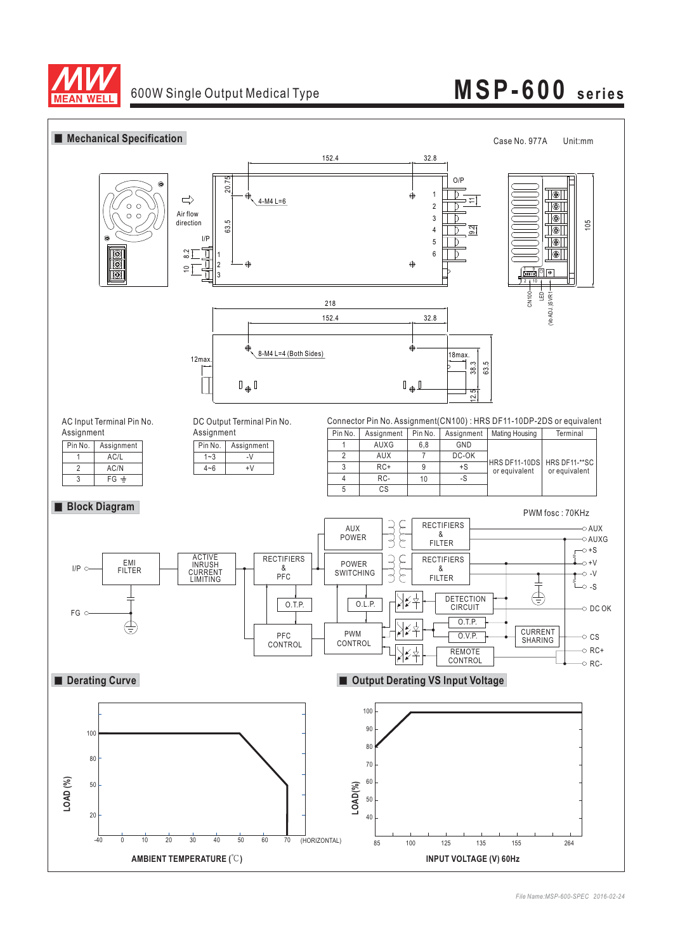

# **MSP-600 series**

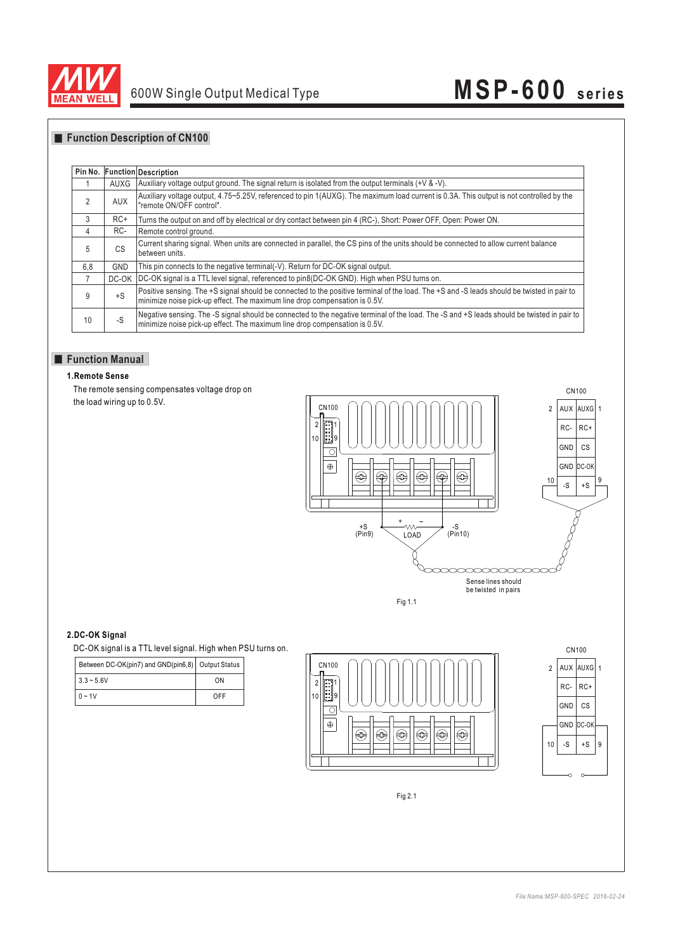

# **MSP-600 series**

# **Function Description of CN100**

| Pin No. |            | <b>Function Description</b>                                                                                                                                                                                              |
|---------|------------|--------------------------------------------------------------------------------------------------------------------------------------------------------------------------------------------------------------------------|
|         | AUXG       | Auxiliary voltage output ground. The signal return is isolated from the output terminals $(+\vee \& -\vee)$ .                                                                                                            |
| 2       | AUX        | Auxiliary voltage output, 4.75~5.25V, referenced to pin 1(AUXG). The maximum load current is 0.3A. This output is not controlled by the<br>"remote ON/OFF control".                                                      |
| 3       | $RC+$      | Turns the output on and off by electrical or dry contact between pin 4 (RC-), Short: Power OFF, Open: Power ON.                                                                                                          |
| 4       | RC-        | Remote control ground.                                                                                                                                                                                                   |
| 5       | CS         | Current sharing signal. When units are connected in parallel, the CS pins of the units should be connected to allow current balance<br>between units.                                                                    |
| 6,8     | <b>GND</b> | This pin connects to the negative terminal(-V). Return for DC-OK signal output.                                                                                                                                          |
|         | DC-OK      | DC-OK signal is a TTL level signal, referenced to pin8(DC-OK GND). High when PSU turns on.                                                                                                                               |
| 9       | $+S$       | Positive sensing. The +S signal should be connected to the positive terminal of the load. The +S and -S leads should be twisted in pair to<br>minimize noise pick-up effect. The maximum line drop compensation is 0.5V. |
| 10      | $-S$       | Negative sensing. The -S signal should be connected to the negative terminal of the load. The -S and +S leads should be twisted in pair to<br>minimize noise pick-up effect. The maximum line drop compensation is 0.5V. |

## **Function Manual**

### **1.Remote Sense**

The remote sensing compensates voltage drop on the load wiring up to 0.5V.



#### **2.DC-OK Signal**

| Between DC-OK(pin7) and GND(pin6,8) Output Status |     |
|---------------------------------------------------|-----|
| $3.3 - 5.6V$                                      | ΩN  |
| $0 - 1V$                                          | OFF |





Fig 2.1